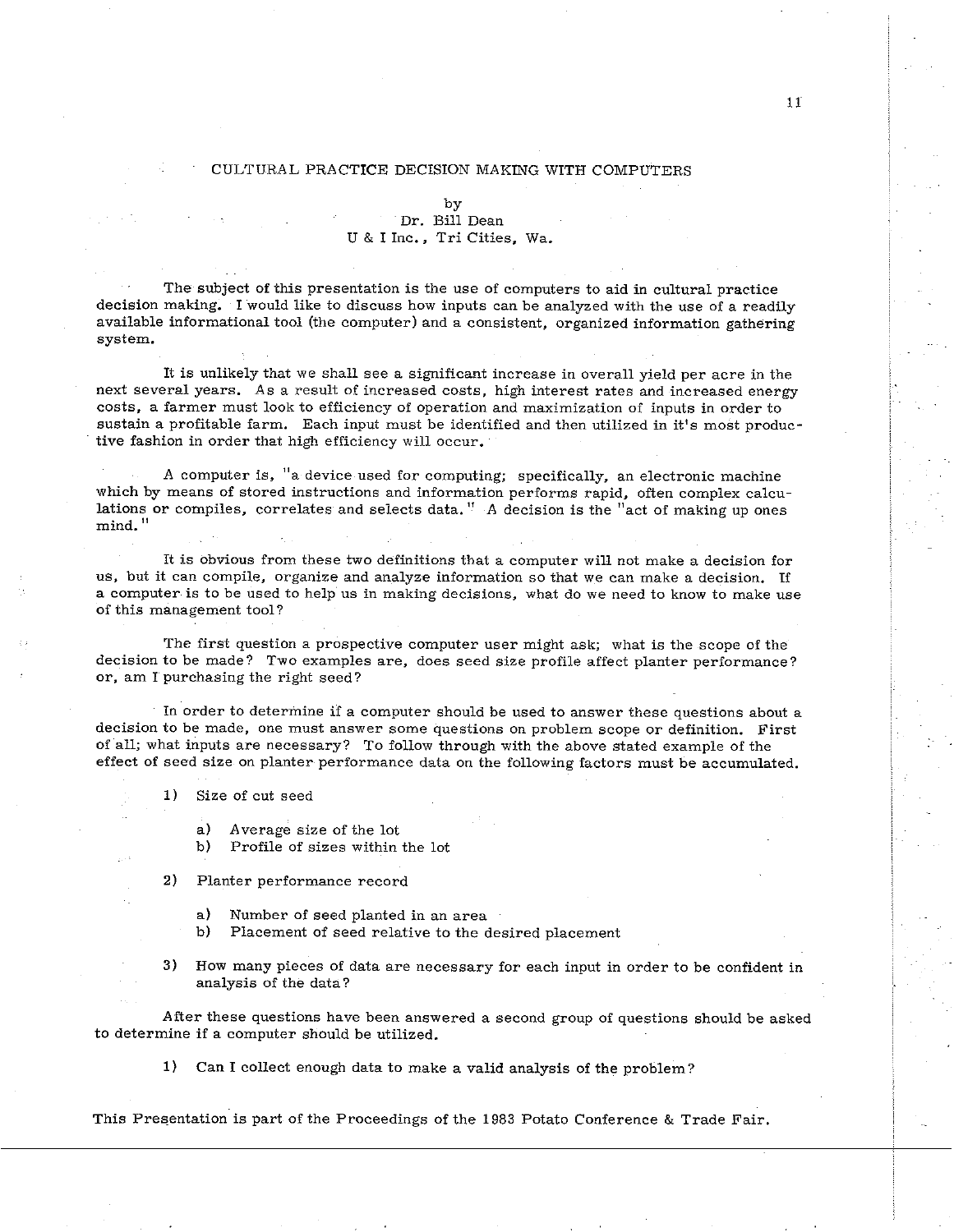## CULTURAL PRACTICE DECISION MAKING WITH COMPUTERS

by

## Dr. Bill Dean U & I Inc., Tri Cities, Wa.

The subject of this presentation is the use of computers to aid in cultural practice decision making. I would like to discuss how inputs can he analyzed with the use of a readily available informational tool (the computer) and a consistent, organized information gathering system.

It is unlikely that we shall see a significant increase in overall yield per acre in the next several years. As a result of increased costs, high interest rates and increased energy costs, a farmer must look to efficiency of operation and maximization of inputs in order to sustain a profitable farm. Each input must be identified and then utilized in it's most productive fashion in order that high efficiency will occur.

A computer is, "a device used for computing; specifically, an electronic machine which by means of stored instructions and information performs rapid, often complex calculations or compiles, correlates and selects data." A decision is the "act of making up ones mind. "

It is obvious from these two definitions that a computer will not make a decision for us, but it can compile, organize and analyze information so that we can make a decision. If a computer is to he used to help us in making decisions, what do we need to know to make use of this management tool?

The first question a prospective computer user might ask; what is the scope of the decision to he made? Two examples are, does seed size profile affect planter performance? or, am I purchasing the right seed?

In order to determine if a computer should he used to answer these questions about a decision to be made, one must answer some questions on problem scope or definition. First of all; what inputs are necessary? To follow through with the above stated example of the effect of seed size on planter performance data on the following factors must be accumulated.

1) Size of cut seed

- a) Average size of the lot<br>b) Profile of sizes within
- Profile of sizes within the lot

**2)** Planter performance record

- a) Number of seed planted in an area<br>b) Placement of seed relative to the d
- Placement of seed relative to the desired placement

3) How many pieces of data are necessary for each input in order to be confident in analysis of the data?

After these questions have been answered a second group of questions should be asked to determine if a computer should be utilized.

**1)** Can I collect enough data to make a valid analysis of the problem?

This Presentation is part of the Proceedings of the 1983 Potato Conference & Trade Fair.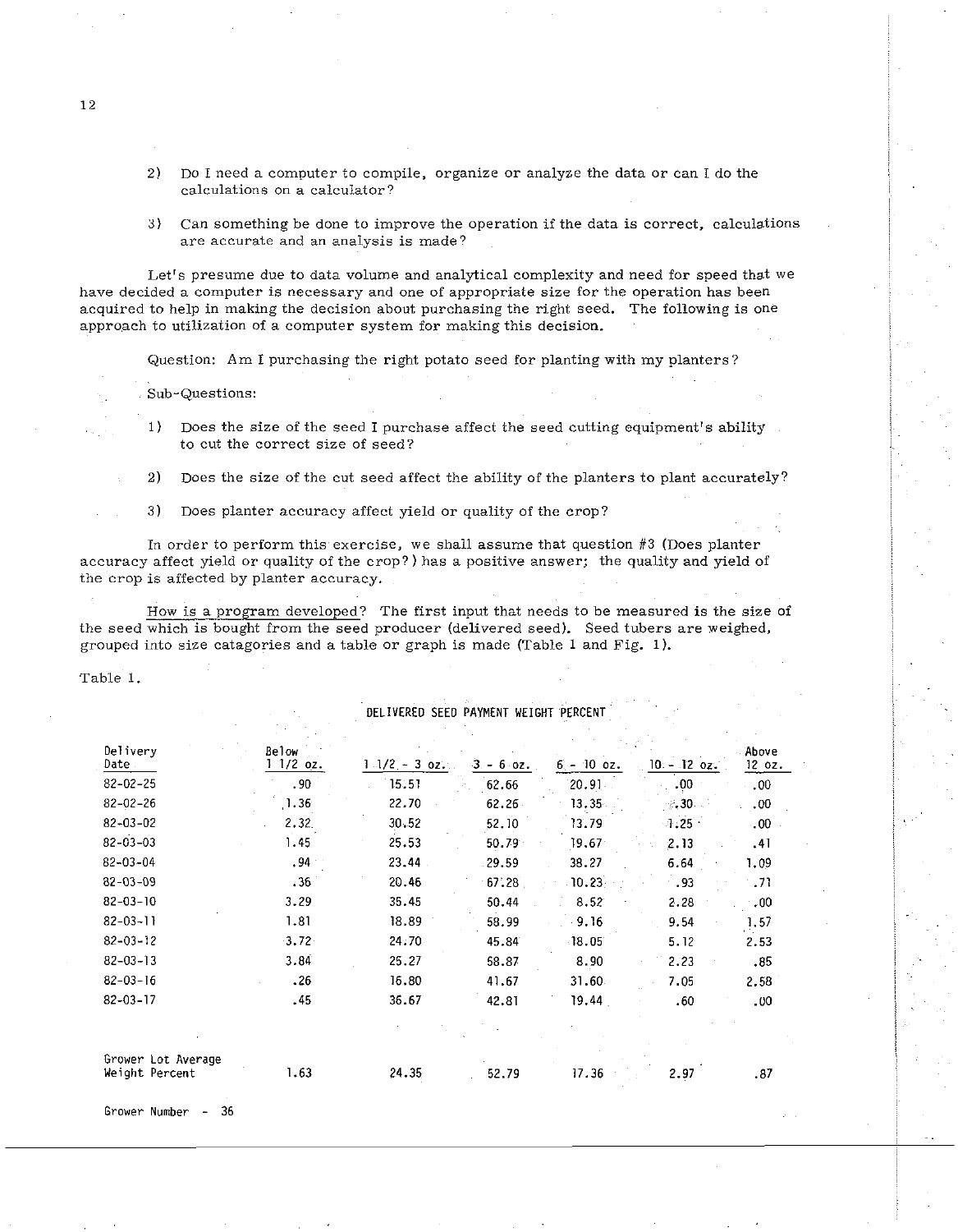- 2) Do I need a computer to compile, organize or analyze the data or can I do the calculations on a calculator?
- **3)** Can something be done to improve the operation if the data is correct, calculations are accurate and an analysis is made?

Let's presume due to data volume and analytical complexity and need for speed that we have decided a computer is necessary and one of appropriate size for the operation has been acquired to help in making the decision about purchasing the right seed. The following is one approach to utilization of a computer system for making this decision.

Question: Am I purchasing the right potato seed for planting with my planters?

Sub-Questions:

- 1) Does the size of the seed I purchase affect the seed cutting equipment's ability to cut the correct size of seed?
- **2)** Does the size of the cut seed affect the ability of the planters to plant accurately?
- **3)** Does planter accuracy affect yield or quality of the crop?

In order to perform this exercise, we shall assume that question **#3** (Does planter accuracy affect yield or quality of the crop?) has a positive answer; the quality and yield of the crop is affected by planter accuracy.

How is a program developed? The first input that needs to be measured is the size of the seed which is bought from the seed producer (delivered seed). Seed tubers are weighed, grouped lnto size catagories and a table or graph is made (Table 1 and Fig. 1).

Table 1.

## DELIVERED SEED PAYMENT **WEIGHT** PERCENT

| Delivery<br>Date.                    | Below<br>$11/2$ oz. |                  |              |              |             | Above  |
|--------------------------------------|---------------------|------------------|--------------|--------------|-------------|--------|
|                                      |                     | $1.1/2 - 3.0z$ . | $3 - 6.02$ . | $6 - 10$ oz. | 10 - 12 oz. | 12 oz. |
| $82 - 02 - 25$                       | .90                 | 15.51            | 62.66        | 20.91        | .00         | .00.   |
| $82 - 02 - 26$                       | 1.36                | 22.70            | 62.26        | 13.35        | $\sim 30$ . | .00.   |
| $82 - 03 - 02$                       | 2.32                | 30.52            | 52.10        | 13.79        | $-1.25 -$   | 00.    |
| $82 - 03 - 03$                       | 1.45                | 25.53            | 50.79        | 19.67        | 2.13        | .41    |
| $82 - 03 - 04$                       | .94                 | 23.44            | 29.59        | 38.27        | 6.64.       | 1.09   |
| $82 - 03 - 09$                       | .36                 | 20.46            | 67.28        | 10.23        | - 93        | .71    |
| $82 - 03 - 10$                       | 3.29                | 35.45            | 50.44        | 8.52         | 2.28        | .00.   |
| $82 - 03 - 11$                       | 1.81                | 18.89            | 58.99        | 9.16         | 9.54        | 1.57   |
| $82 - 03 - 12$                       | 3.72                | 24.70            | 45.84        | $-18.05$     | 5.12        | 2.53   |
| $82 - 03 - 13$                       | 3.84                | 25.27            | 58.87        | 8.90         | 2.23        | .85    |
| $82 - 03 - 16$                       | .26                 | 16.80            | 41.67        | 31.60        | 7.05        | 2.58   |
| $82 - 03 - 17$                       | .45                 | 36.67            | 42.81        | 19.44        | .60         | .00.   |
|                                      |                     |                  |              |              |             |        |
| Grower Lot Average<br>Weight Percent | 1.63                | 24.35            | 52.79        | 17.36        | 2.97        | .87    |

Grower Number - 36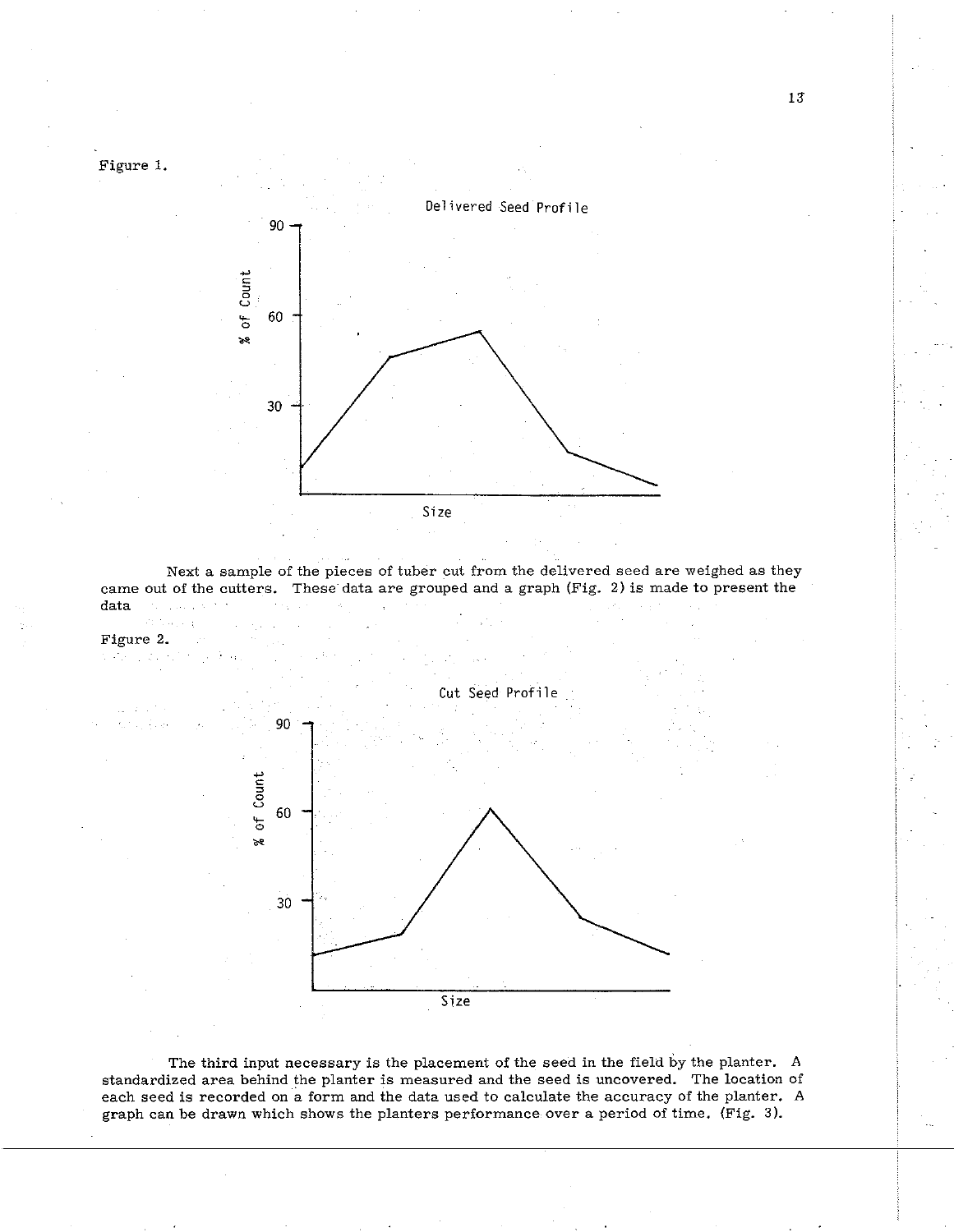

t sty

Next a sample of the pieces of tuber cut from the delivered seed are weighed as they came out of the cutters. These data are grouped and a graph (Fig. 2) is made to present the data



The third input necessary is the placement of the seed in the field by the planter. A standardized area behind the planter is measured and the seed is uncovered. The location of each seed is recorded on a form and the data used to calculate the accuracy of the planter. A graph can be drawn which shows the planters performance over a period of time. (Fig. **3).** 

13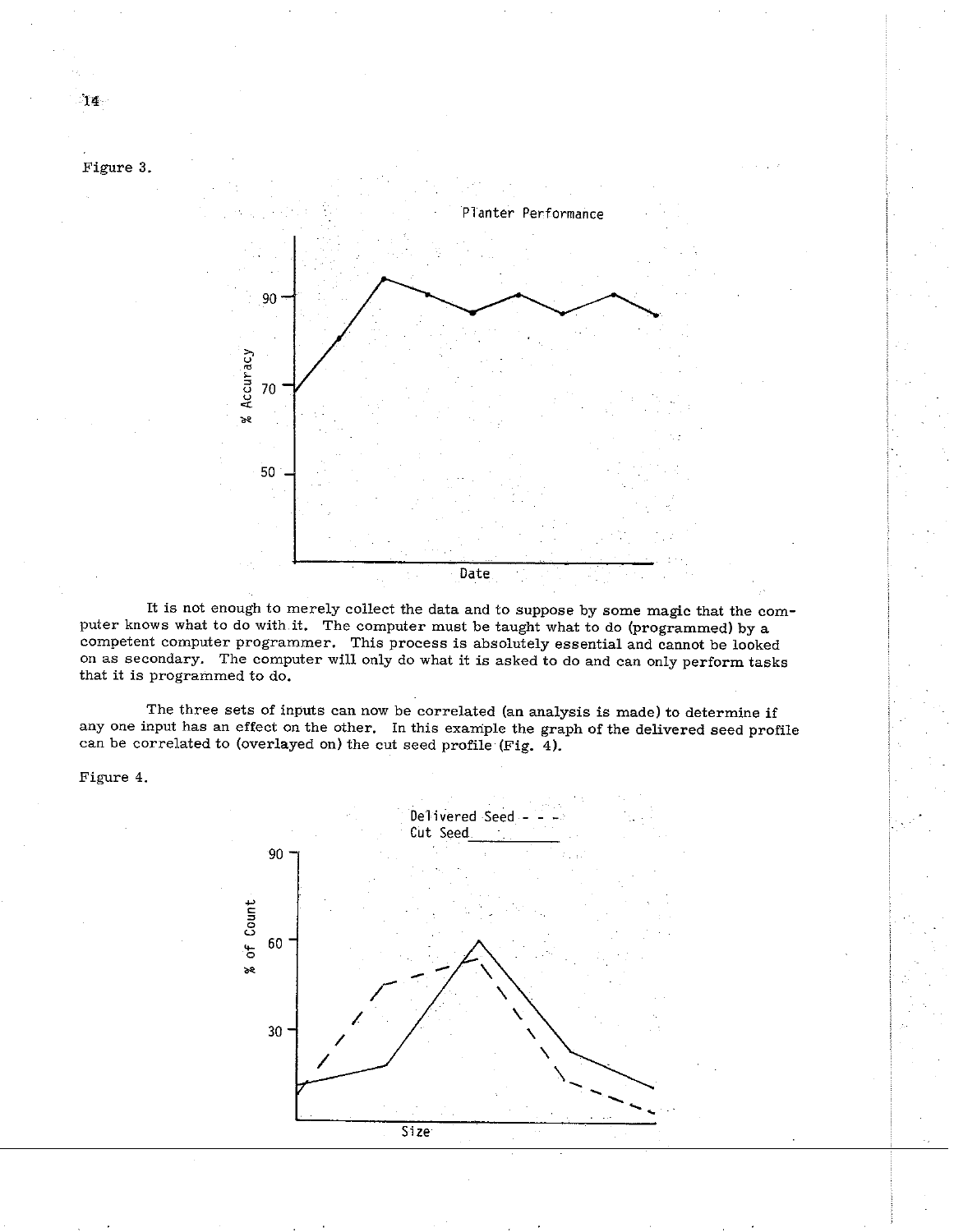

It is not enough to merely collect the data and to suppose by some magic that the computer knows what to do with it. The computer must be taught what to do (programmed) by a competent computer programmer. This process is absolutely essential and cannot be looked on as secondary. The computer will only do what it is asked to do and can only perform tasks that it is programmed to do.

The three sets of inputs can now be correlated (an analysis is made) to determine if any one input has an effect on the other. In this example the graph of the delivered seed profile can be correlated to (overlayed on) the cut seed profile (Fig. 4).

Figure 4.



<sup>14.</sup>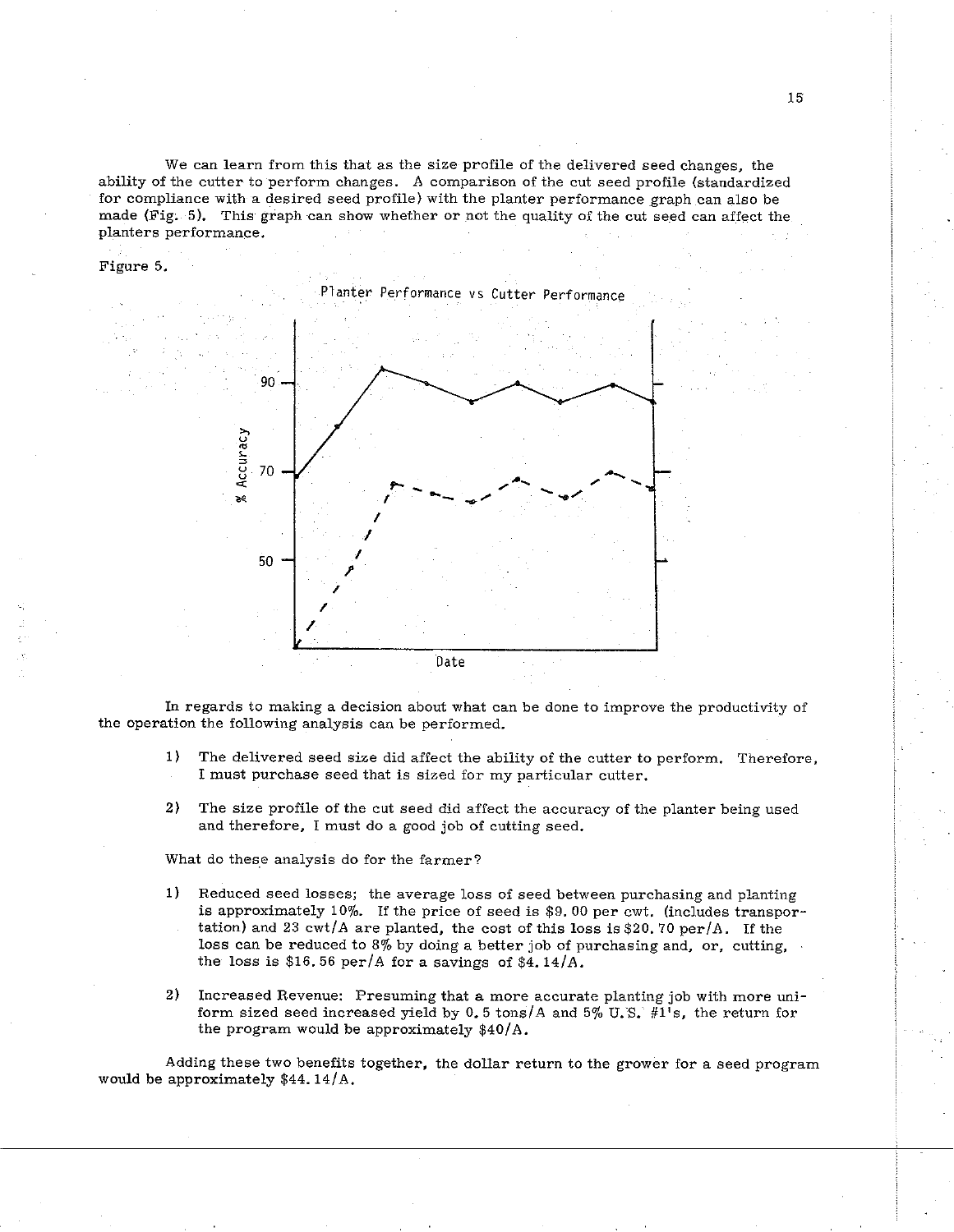We can learn from this that as the size profile of the delivered seed changes, the ability of the cutter to perform changes. A comparison of the cut seed profile (standardized for compliance with a desired seed profile) with the planter performance graph can also be made (Fig.  $5$ ). This graph can show whether or not the quality of the cut seed can affect the planters performance.

Figure 5.



In regards to making a decision about what can be done to improve the productivity of the operation the following analysis can be performed.

- 1) The delivered seed size did affect the ability of the cutter to perform. Therefore, I must purchase seed that is sized for my particular cutter.
- 2) The size profile of the cut seed did affect the accuracy of the planter being used and therefore, I must do a good job of cutting seed.

What do these analysis do for the farmer?

- 1) Reduced seed losses; the average loss of seed between purchasing and planting is approximately 10%. If the price of seed is \$9. 00 per cwt. (includes transportation) and 23 cwt/A are planted, the cost of this loss is \$20.70 per/A. If the loss can be reduced to 8% by doing a better job of purchasing and, or, cutting, the loss is \$16.56 per/A for a savings of \$4.14/A.
- 2) Increased Revenue: Presuming that a more accurate planting job with more uniform sized seed increased yield by 0.5 tons/A and 5% **U.S.** #l's, the return for the program would be approximately \$40/A.

Adding these two benefits together, the dollar return to the grower for a seed program would be approximately \$44.14/A.